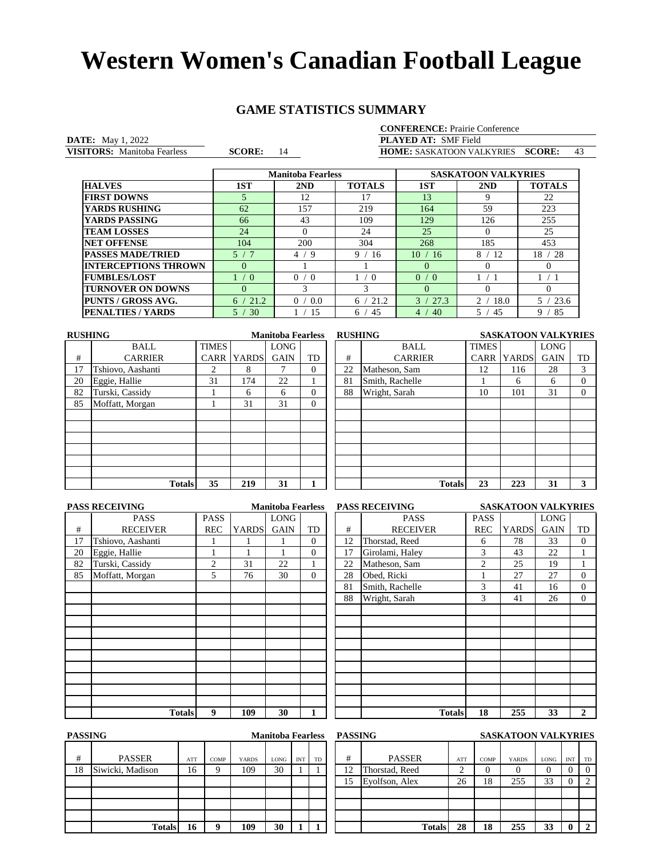# **GAME STATISTICS SUMMARY**

Manitoba Fearless

**DATE:** May 1, 2022 **PLAYED AT: VISITORS:** Manitoba Fearless **SCORE:** 14 **HOME:** SASKATOON VALKYRIES **SCORE:** 43 **PLAYED AT:** SMF Field<br> **HOME:** SASKATOON VAL

|                             |            | <b>Manitoba Fearless</b> |               | <b>SASKATOON VALKYRIES</b> |            |               |  |
|-----------------------------|------------|--------------------------|---------------|----------------------------|------------|---------------|--|
| <b>HALVES</b>               | 1ST        | 2ND                      | <b>TOTALS</b> | 1ST                        | 2ND        | <b>TOTALS</b> |  |
| <b>FIRST DOWNS</b>          |            | 12                       |               | 13                         | Q          | 22            |  |
| <b>YARDS RUSHING</b>        | 62         | 157                      | 219           | 164                        | 59         | 223           |  |
| YARDS PASSING               | 66         | 43                       | 109           | 129                        | 126        | 255           |  |
| <b>TEAM LOSSES</b>          | 24         |                          | 24            | 25                         |            | 25            |  |
| <b>NET OFFENSE</b>          | 104        | 200                      | 304           | 268                        | 185        | 453           |  |
| <b>PASSES MADE/TRIED</b>    | 5/7        | 4/9                      | 9<br>-16      | 10<br>-16                  | 8/<br>ี 12 | 18<br>-28     |  |
| <b>INTERCEPTIONS THROWN</b> | $\Omega$   |                          |               | $\Omega$                   |            | 0             |  |
| <b>FUMBLES/LOST</b>         | $\sqrt{0}$ | 0<br>$\sqrt{0}$          | $\Omega$      | $\Omega$<br>$\sqrt{0}$     |            |               |  |
| <b>TURNOVER ON DOWNS</b>    | $\Omega$   | 3                        | 3             | $\Omega$                   |            | 0             |  |
| <b>PUNTS / GROSS AVG.</b>   | 21.2<br>6. | 0<br>0.0                 | 21.2<br>6     | 27.3<br>$\mathcal{R}$      | っ<br>18.0  | 23.6          |  |
| <b>PENALTIES / YARDS</b>    | 5.<br>30   | 15                       | 45<br>6       | 40<br>$\overline{4}$       | 5<br>45    | 85<br>9       |  |

| <b>RUSHING</b> |                   |              | <b>Manitoba Fearless</b> |             |                |    | <b>RUSHING</b>  | <b>SASKATOON VALKYRIES</b> |              |             |    |
|----------------|-------------------|--------------|--------------------------|-------------|----------------|----|-----------------|----------------------------|--------------|-------------|----|
|                | <b>BALL</b>       | <b>TIMES</b> |                          | <b>LONG</b> |                |    | <b>BALL</b>     | <b>TIMES</b>               |              | <b>LONG</b> |    |
| #              | <b>CARRIER</b>    | <b>CARR</b>  | <b>YARDS</b>             | <b>GAIN</b> | TD             | #  | <b>CARRIER</b>  | <b>CARR</b>                | <b>YARDS</b> | <b>GAIN</b> | TD |
| 17             | Tshiovo, Aashanti | ↑            | 8                        |             | $\Omega$       | 22 | Matheson, Sam   | 12                         | 116          | 28          | 3  |
| 20             | Eggie, Hallie     | 31           | 174                      | 22          |                | 81 | Smith, Rachelle |                            | 6            | 6           | 0  |
| 82             | Turski, Cassidy   |              | 6                        | 6           | $\Omega$       | 88 | Wright, Sarah   | 10                         | 101          | 31          | 0  |
| 85             | Moffatt, Morgan   |              | 31                       | 31          | $\overline{0}$ |    |                 |                            |              |             |    |
|                |                   |              |                          |             |                |    |                 |                            |              |             |    |
|                |                   |              |                          |             |                |    |                 |                            |              |             |    |
|                |                   |              |                          |             |                |    |                 |                            |              |             |    |
|                |                   |              |                          |             |                |    |                 |                            |              |             |    |
|                |                   |              |                          |             |                |    |                 |                            |              |             |    |
|                |                   |              |                          |             |                |    |                 |                            |              |             |    |
|                | <b>Totals</b>     | 35           | 219                      | 31          |                |    | <b>Totals</b>   | 23                         | 223          | 31          | 3  |
|                |                   |              |                          |             |                |    |                 |                            |              |             |    |

| <b>PASS RECEIVING</b><br><b>Manitoba Fearless</b> |                   |            |              |             |                |  |  |  |  |  |
|---------------------------------------------------|-------------------|------------|--------------|-------------|----------------|--|--|--|--|--|
|                                                   | PASS              | PASS       |              | <b>LONG</b> |                |  |  |  |  |  |
| #                                                 | <b>RECEIVER</b>   | <b>REC</b> | <b>YARDS</b> | <b>GAIN</b> | TD             |  |  |  |  |  |
| 17                                                | Tshiovo, Aashanti |            |              |             | $\overline{0}$ |  |  |  |  |  |
| 20                                                | Eggie, Hallie     | 1          |              |             | $\overline{0}$ |  |  |  |  |  |
| 82                                                | Turski, Cassidy   | 2          | 31           | 22          | 1              |  |  |  |  |  |
| 85                                                | Moffatt, Morgan   | 5          | 76           | 30          | $\overline{0}$ |  |  |  |  |  |
|                                                   |                   |            |              |             |                |  |  |  |  |  |
|                                                   |                   |            |              |             |                |  |  |  |  |  |
|                                                   |                   |            |              |             |                |  |  |  |  |  |
|                                                   |                   |            |              |             |                |  |  |  |  |  |
|                                                   |                   |            |              |             |                |  |  |  |  |  |
|                                                   |                   |            |              |             |                |  |  |  |  |  |
|                                                   |                   |            |              |             |                |  |  |  |  |  |
|                                                   |                   |            |              |             |                |  |  |  |  |  |
|                                                   |                   |            |              |             |                |  |  |  |  |  |
|                                                   |                   |            |              |             |                |  |  |  |  |  |
|                                                   |                   |            |              |             |                |  |  |  |  |  |
|                                                   | <b>Totals</b>     | 9          | 109          | 30          | 1              |  |  |  |  |  |

| <b>PASS RECEIVING</b> |                   | <b>Manitoba Fearless</b> |              |             |          | <b>PASS RECEIVING</b> | <b>SASKATOON VALKYRIES</b> |                |              |             |                |
|-----------------------|-------------------|--------------------------|--------------|-------------|----------|-----------------------|----------------------------|----------------|--------------|-------------|----------------|
|                       | <b>PASS</b>       | <b>PASS</b>              |              | <b>LONG</b> |          |                       | <b>PASS</b>                | <b>PASS</b>    |              | <b>LONG</b> |                |
| #                     | <b>RECEIVER</b>   | <b>REC</b>               | <b>YARDS</b> | <b>GAIN</b> | TD       | #                     | <b>RECEIVER</b>            | <b>REC</b>     | <b>YARDS</b> | <b>GAIN</b> | TD             |
| 17                    | Tshiovo, Aashanti |                          |              |             | $\theta$ | 12                    | Thorstad, Reed             | 6              | 78           | 33          | $\Omega$       |
| 20                    | Eggie, Hallie     |                          |              |             | $\Omega$ | 17                    | Girolami, Haley            | 3              | 43           | 22          |                |
| 82                    | Turski, Cassidy   | 2                        | 31           | 22          |          | 22                    | Matheson, Sam              | $\overline{2}$ | 25           | 19          |                |
| 85                    | Moffatt, Morgan   | 5                        | 76           | 30          | $\Omega$ | 28                    | Obed, Ricki                |                | 27           | 27          | $\overline{0}$ |
|                       |                   |                          |              |             |          | 81                    | Smith, Rachelle            | 3              | 41           | 16          | $\overline{0}$ |
|                       |                   |                          |              |             |          | 88                    | Wright, Sarah              | 3              | 41           | 26          | $\Omega$       |
|                       |                   |                          |              |             |          |                       |                            |                |              |             |                |
|                       |                   |                          |              |             |          |                       |                            |                |              |             |                |
|                       |                   |                          |              |             |          |                       |                            |                |              |             |                |
|                       |                   |                          |              |             |          |                       |                            |                |              |             |                |
|                       |                   |                          |              |             |          |                       |                            |                |              |             |                |
|                       |                   |                          |              |             |          |                       |                            |                |              |             |                |
|                       |                   |                          |              |             |          |                       |                            |                |              |             |                |
|                       |                   |                          |              |             |          |                       |                            |                |              |             |                |
|                       |                   |                          |              |             |          |                       |                            |                |              |             |                |
|                       | <b>Totals</b>     | 9                        | 109          | 30          | 1        |                       | <b>Totals</b>              | 18             | 255          | 33          | $\overline{2}$ |

| <b>PASSING</b><br><b>Manitoba Fearless</b> |                  |     |      |              |      |            | <b>PASSING</b> |    |                |        | <b>SASKATOON VALKYRIES</b> |              |      |            |          |
|--------------------------------------------|------------------|-----|------|--------------|------|------------|----------------|----|----------------|--------|----------------------------|--------------|------|------------|----------|
| #                                          | <b>PASSER</b>    | ATT | COMP | <b>YARDS</b> | LONG | <b>INT</b> | TD             | #  | <b>PASSER</b>  | ATT    | COMP                       | <b>YARDS</b> | LONG | <b>INT</b> | TD       |
| 18                                         | Siwicki, Madison | 16  | Ο    | 109          | 30   |            |                | 12 | Thorstad, Reed | ◠<br>∼ | 0                          | $\theta$     |      |            | $\Omega$ |
|                                            |                  |     |      |              |      |            |                | 15 | Evolfson, Alex | 26     | 18                         | 255          | 33   |            |          |
|                                            |                  |     |      |              |      |            |                |    |                |        |                            |              |      |            |          |
|                                            |                  |     |      |              |      |            |                |    |                |        |                            |              |      |            |          |
|                                            |                  |     |      |              |      |            |                |    |                |        |                            |              |      |            |          |
|                                            | <b>Totals</b>    | 16  |      | 109          | 30   |            |                |    | <b>Totals</b>  | 28     | 18                         | 255          | 33   | 0          | -2       |

| <b>Manitoba Fearless</b> |     |      |              |      |            |    | <b>PASSING</b> |                |        |          | <b>SASKATOON VALKYRIES</b> |          |            |    |  |
|--------------------------|-----|------|--------------|------|------------|----|----------------|----------------|--------|----------|----------------------------|----------|------------|----|--|
|                          | ATT | COMP | <b>YARDS</b> | LONG | <b>INT</b> | TD | #              | <b>PASSER</b>  | ATT    | COMP     | <b>YARDS</b>               | LONG     | <b>INT</b> | TD |  |
| m                        | 16  | Q    | 109          | 30   |            |    | $12^{\circ}$   | Thorstad, Reed | ◠<br>∠ | $\theta$ | 0                          | $\left($ | 0          |    |  |
|                          |     |      |              |      |            |    | 15             | Evolfson, Alex | 26     | 18       | 255                        | 33       | $\theta$   |    |  |
|                          |     |      |              |      |            |    |                |                |        |          |                            |          |            |    |  |
|                          |     |      |              |      |            |    |                |                |        |          |                            |          |            |    |  |
|                          |     |      |              |      |            |    |                |                |        |          |                            |          |            |    |  |
| <b>Totals</b>            | 16  | q    | 109          | 30   |            |    |                | <b>Totals</b>  | 28     | 18       | 255                        | 33       | 0          |    |  |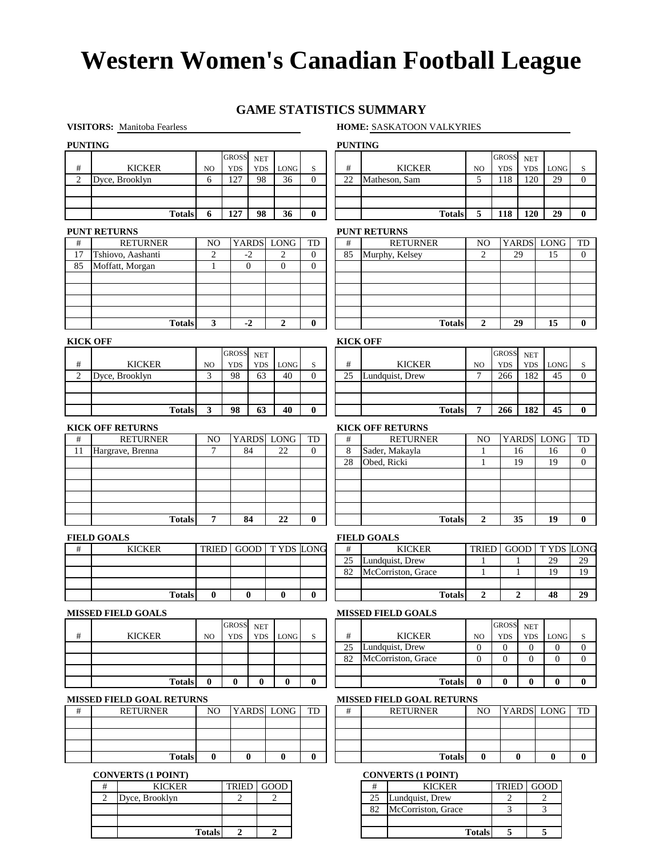## **GAME STATISTICS SUMMARY**

### **VISITORS:** Manitoba Fearless **HOME:** SASKATOON VALKYRIES

**Totals 5 5**

| <b>PUNTING</b>  |                                      |                                |                |                                    |                        |                          |                 | <b>PUNTING</b>                        |                                  |                  |                             |                  |              |
|-----------------|--------------------------------------|--------------------------------|----------------|------------------------------------|------------------------|--------------------------|-----------------|---------------------------------------|----------------------------------|------------------|-----------------------------|------------------|--------------|
|                 |                                      |                                | <b>GROSS</b>   | <b>NET</b>                         |                        |                          |                 |                                       |                                  | <b>GROSS</b>     | <b>NET</b>                  |                  |              |
| #               | <b>KICKER</b>                        | NO                             | <b>YDS</b>     | <b>YDS</b>                         | LONG                   | S                        | #               | <b>KICKER</b>                         | NO                               | <b>YDS</b>       | <b>YDS</b>                  | <b>LONG</b>      | S            |
| $\overline{2}$  | Dyce, Brooklyn                       | 6                              | 127            | 98                                 | 36                     | $\Omega$                 | 22              | Matheson, Sam                         | 5                                | 118              | 120                         | 29               | $\Omega$     |
|                 |                                      |                                |                |                                    |                        |                          |                 |                                       |                                  |                  |                             |                  |              |
|                 | <b>Totals</b>                        | 6                              | 127            | 98                                 | 36                     | $\bf{0}$                 |                 | <b>Totals</b>                         | 5                                | 118              | 120                         | 29               | $\bf{0}$     |
|                 |                                      |                                |                |                                    |                        |                          |                 |                                       |                                  |                  |                             |                  |              |
|                 | <b>PUNT RETURNS</b>                  |                                |                |                                    |                        |                          |                 | <b>PUNT RETURNS</b>                   |                                  |                  |                             |                  |              |
| #<br>17         | <b>RETURNER</b>                      | NO                             |                | <b>YARDS</b><br>$-2$               | LONG<br>$\overline{2}$ | TD                       | #               | <b>RETURNER</b>                       | N <sub>O</sub><br>$\overline{c}$ |                  | <b>YARDS</b><br>29          | LONG<br>15       | TD           |
| 85              | Tshiovo, Aashanti<br>Moffatt, Morgan | $\overline{2}$<br>$\mathbf{1}$ |                | $\mathbf{0}$                       | $\overline{0}$         | $\theta$<br>$\mathbf{0}$ | 85              | Murphy, Kelsey                        |                                  |                  |                             |                  | $\mathbf{0}$ |
|                 |                                      |                                |                |                                    |                        |                          |                 |                                       |                                  |                  |                             |                  |              |
|                 |                                      |                                |                |                                    |                        |                          |                 |                                       |                                  |                  |                             |                  |              |
|                 |                                      |                                |                |                                    |                        |                          |                 |                                       |                                  |                  |                             |                  |              |
|                 |                                      |                                |                |                                    |                        |                          |                 |                                       |                                  |                  |                             |                  |              |
|                 | <b>Totals</b>                        | 3                              |                | $-2$                               | $\boldsymbol{2}$       | $\bf{0}$                 |                 | <b>Totals</b>                         | 2                                |                  | 29                          | 15               | $\bf{0}$     |
| <b>KICK OFF</b> |                                      |                                |                |                                    |                        |                          |                 | <b>KICK OFF</b>                       |                                  |                  |                             |                  |              |
|                 |                                      |                                | <b>GROSS</b>   | $\operatorname{NET}$               |                        |                          |                 |                                       |                                  | <b>GROSS</b>     | <b>NET</b>                  |                  |              |
| $\#$            | <b>KICKER</b>                        | N <sub>O</sub>                 | <b>YDS</b>     | <b>YDS</b>                         | <b>LONG</b>            | $\,$ S                   | $\#$            | <b>KICKER</b>                         | N <sub>O</sub>                   | <b>YDS</b>       | <b>YDS</b>                  | <b>LONG</b>      | S            |
| $\overline{2}$  | Dyce, Brooklyn                       | 3                              | 98             | 63                                 | 40                     | $\mathbf{0}$             | 25              | Lundquist, Drew                       | 7                                | 266              | 182                         | 45               | $\mathbf{0}$ |
|                 |                                      |                                |                |                                    |                        |                          |                 |                                       |                                  |                  |                             |                  |              |
|                 |                                      |                                |                |                                    |                        |                          |                 |                                       |                                  |                  |                             |                  |              |
|                 | <b>Totals</b>                        | $\mathbf{3}$                   | 98             | 63                                 | 40                     | $\bf{0}$                 |                 | <b>Totals</b>                         | 7                                | 266              | 182                         | 45               | $\bf{0}$     |
|                 | <b>KICK OFF RETURNS</b>              |                                |                |                                    |                        |                          |                 | <b>KICK OFF RETURNS</b>               |                                  |                  |                             |                  |              |
| #               | <b>RETURNER</b>                      | N <sub>O</sub>                 |                | <b>YARDS</b>                       | LONG                   | TD                       | $^{\#}$         | <b>RETURNER</b>                       | N <sub>O</sub>                   |                  |                             | YARDS LONG       | TD           |
| 11              | Hargrave, Brenna                     | $\tau$                         |                | 84                                 | 22                     | $\theta$                 | 8               | Sader, Makayla                        | 1                                |                  | 16                          | 16               | $\mathbf{0}$ |
|                 |                                      |                                |                |                                    |                        |                          | 28              | Obed, Ricki                           | $\mathbf{1}$                     |                  | 19                          | 19               | $\mathbf{0}$ |
|                 |                                      |                                |                |                                    |                        |                          |                 |                                       |                                  |                  |                             |                  |              |
|                 |                                      |                                |                |                                    |                        |                          |                 |                                       |                                  |                  |                             |                  |              |
|                 |                                      |                                |                |                                    |                        |                          |                 |                                       |                                  |                  |                             |                  |              |
|                 | <b>Totals</b>                        | $\overline{7}$                 |                | 84                                 | 22                     | $\bf{0}$                 |                 | <b>Totals</b>                         | $\overline{2}$                   |                  | 35                          | 19               | $\bf{0}$     |
|                 |                                      |                                |                |                                    |                        |                          |                 |                                       |                                  |                  |                             |                  |              |
|                 | <b>FIELD GOALS</b>                   |                                |                |                                    |                        |                          |                 | <b>FIELD GOALS</b>                    |                                  |                  |                             |                  |              |
| $\#$            | <b>KICKER</b>                        | TRIED                          |                | GOOD                               | <b>TYDS LONG</b>       |                          | #               | <b>KICKER</b>                         | TRIED                            |                  | GOOD                        | <b>TYDS LONG</b> |              |
|                 |                                      |                                |                |                                    |                        |                          | 25<br>82        | Lundquist, Drew<br>McCorriston, Grace | 1<br>1                           |                  | 1<br>1                      | 29<br>19         | 29<br>19     |
|                 |                                      |                                |                |                                    |                        |                          |                 |                                       |                                  |                  |                             |                  |              |
|                 | <b>Totals</b>                        | $\bf{0}$                       |                | $\bf{0}$                           | $\bf{0}$               | $\bf{0}$                 |                 | <b>Totals</b>                         | $\overline{2}$                   |                  | $\mathbf{2}$                | 48               | 29           |
|                 |                                      |                                |                |                                    |                        |                          |                 |                                       |                                  |                  |                             |                  |              |
|                 | <b>MISSED FIELD GOALS</b>            |                                | <b>GROSS</b>   |                                    |                        |                          |                 | <b>MISSED FIELD GOALS</b>             |                                  | <b>GROSS</b>     |                             |                  |              |
| #               | <b>KICKER</b>                        | NO.                            | <b>YDS</b>     | $\operatorname{NET}$<br><b>YDS</b> | <b>LONG</b>            | $\,$ S                   | #               | <b>KICKER</b>                         | NO                               | <b>YDS</b>       | $\operatorname{NET}$<br>YDS | LONG             | S            |
|                 |                                      |                                |                |                                    |                        |                          | $\overline{25}$ | Lundquist, Drew                       | $\boldsymbol{0}$                 | $\boldsymbol{0}$ | $\mathbf{0}$                | $\overline{0}$   | $\mathbf{0}$ |
|                 |                                      |                                |                |                                    |                        |                          | 82              | McCorriston, Grace                    | $\mathbf{0}$                     | $\boldsymbol{0}$ | $\overline{0}$              | $\overline{0}$   | $\mathbf{0}$ |
|                 |                                      |                                |                |                                    |                        |                          |                 |                                       |                                  |                  |                             |                  |              |
|                 | <b>Totals</b>                        | $\bf{0}$                       | $\bf{0}$       | $\bf{0}$                           | $\bf{0}$               | $\bf{0}$                 |                 | <b>Totals</b>                         | $\bf{0}$                         | $\bf{0}$         | $\bf{0}$                    | $\bf{0}$         | $\bf{0}$     |
|                 | <b>MISSED FIELD GOAL RETURNS</b>     |                                |                |                                    |                        |                          |                 | <b>MISSED FIELD GOAL RETURNS</b>      |                                  |                  |                             |                  |              |
| #               | <b>RETURNER</b>                      | N <sub>O</sub>                 |                | <b>YARDS</b>                       | LONG                   | TD                       | #               | <b>RETURNER</b>                       | NO.                              |                  |                             | YARDS LONG       | TD           |
|                 |                                      |                                |                |                                    |                        |                          |                 |                                       |                                  |                  |                             |                  |              |
|                 |                                      |                                |                |                                    |                        |                          |                 |                                       |                                  |                  |                             |                  |              |
|                 |                                      |                                |                |                                    |                        |                          |                 |                                       |                                  |                  |                             |                  |              |
|                 | <b>Totals</b>                        | $\bf{0}$                       |                | $\bf{0}$                           | $\bf{0}$               | $\bf{0}$                 |                 | <b>Totals</b>                         | $\bf{0}$                         |                  | $\bf{0}$                    | $\bf{0}$         | $\bf{0}$     |
|                 | <b>CONVERTS (1 POINT)</b>            |                                |                |                                    |                        |                          |                 | <b>CONVERTS (1 POINT)</b>             |                                  |                  |                             |                  |              |
|                 | <b>KICKER</b><br>$\#$                |                                | <b>TRIED</b>   |                                    | GOOD                   |                          |                 | <b>KICKER</b><br>#                    |                                  | TRIED            |                             | GOOD             |              |
|                 | $\overline{2}$<br>Dyce, Brooklyn     |                                | $\overline{c}$ |                                    | $\sqrt{2}$             |                          |                 | 25<br>Lundquist, Drew                 |                                  | $\sqrt{2}$       |                             | $\overline{c}$   |              |
|                 |                                      |                                |                |                                    |                        |                          |                 | McCorriston, Grace<br>82              |                                  | 3                |                             | $\mathfrak{Z}$   |              |

**Totals**

**2 2**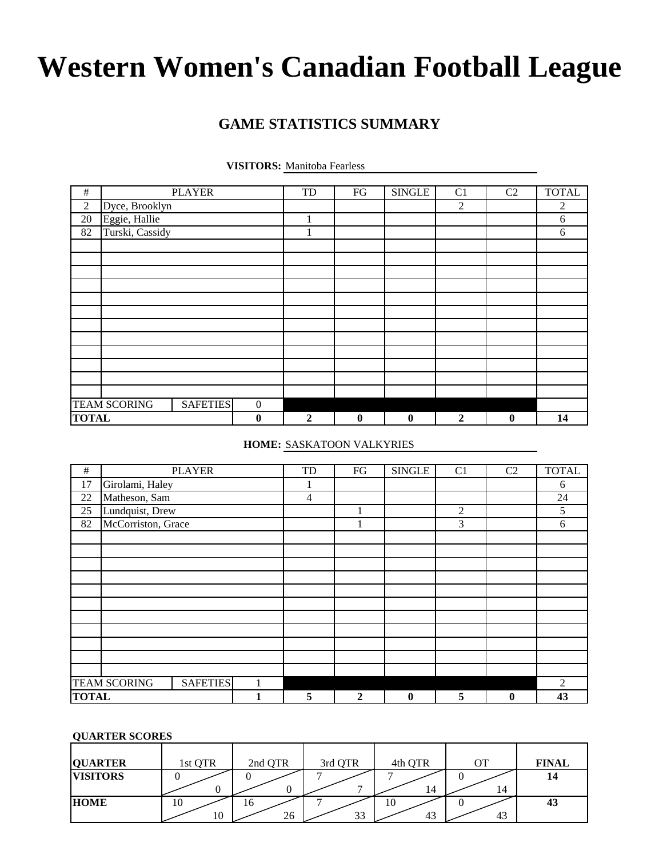# **GAME STATISTICS SUMMARY**

| <b>VISITORS:</b> Manitoba Fearless |  |  |
|------------------------------------|--|--|
|------------------------------------|--|--|

| $\#$             |                     | <b>PLAYER</b>   |                  | TD               | ${\rm FG}$       | <b>SINGLE</b> | C <sub>1</sub> | C <sub>2</sub> | <b>TOTAL</b> |
|------------------|---------------------|-----------------|------------------|------------------|------------------|---------------|----------------|----------------|--------------|
|                  |                     |                 |                  |                  |                  |               |                |                |              |
| $\boldsymbol{2}$ | Dyce, Brooklyn      |                 |                  |                  |                  |               | $\mathfrak{2}$ |                | 2            |
| 20               | Eggie, Hallie       |                 |                  |                  |                  |               |                |                | 6            |
| 82               | Turski, Cassidy     |                 |                  |                  |                  |               |                |                | 6            |
|                  |                     |                 |                  |                  |                  |               |                |                |              |
|                  |                     |                 |                  |                  |                  |               |                |                |              |
|                  |                     |                 |                  |                  |                  |               |                |                |              |
|                  |                     |                 |                  |                  |                  |               |                |                |              |
|                  |                     |                 |                  |                  |                  |               |                |                |              |
|                  |                     |                 |                  |                  |                  |               |                |                |              |
|                  |                     |                 |                  |                  |                  |               |                |                |              |
|                  |                     |                 |                  |                  |                  |               |                |                |              |
|                  |                     |                 |                  |                  |                  |               |                |                |              |
|                  |                     |                 |                  |                  |                  |               |                |                |              |
|                  |                     |                 |                  |                  |                  |               |                |                |              |
|                  |                     |                 |                  |                  |                  |               |                |                |              |
|                  | <b>TEAM SCORING</b> | <b>SAFETIES</b> | $\boldsymbol{0}$ |                  |                  |               |                |                |              |
| <b>TOTAL</b>     |                     |                 | $\boldsymbol{0}$ | $\boldsymbol{2}$ | $\boldsymbol{0}$ | $\bf{0}$      | $\overline{2}$ | $\bf{0}$       | 14           |

### **HOME:** SASKATOON VALKYRIES

| $\#$         |                     | <b>PLAYER</b>   | TD             | FG           | <b>SINGLE</b> | C1             | C <sub>2</sub> | <b>TOTAL</b>   |
|--------------|---------------------|-----------------|----------------|--------------|---------------|----------------|----------------|----------------|
| 17           | Girolami, Haley     |                 | 1              |              |               |                |                | 6              |
| 22           | Matheson, Sam       |                 | $\overline{4}$ |              |               |                |                | 24             |
| 25           | Lundquist, Drew     |                 |                |              |               | $\overline{2}$ |                | 5              |
| 82           | McCorriston, Grace  |                 |                |              |               | 3              |                | 6              |
|              |                     |                 |                |              |               |                |                |                |
|              |                     |                 |                |              |               |                |                |                |
|              |                     |                 |                |              |               |                |                |                |
|              |                     |                 |                |              |               |                |                |                |
|              |                     |                 |                |              |               |                |                |                |
|              |                     |                 |                |              |               |                |                |                |
|              |                     |                 |                |              |               |                |                |                |
|              |                     |                 |                |              |               |                |                |                |
|              |                     |                 |                |              |               |                |                |                |
|              |                     |                 |                |              |               |                |                |                |
|              |                     |                 |                |              |               |                |                |                |
|              | <b>TEAM SCORING</b> | <b>SAFETIES</b> |                |              |               |                |                | $\overline{c}$ |
| <b>TOTAL</b> |                     |                 | 5              | $\mathbf{2}$ | $\bf{0}$      | 5              | $\bf{0}$       | 43             |

### **QUARTER SCORES**

| <b>QUARTER</b>  | 1st QTR  | 2nd QTR  | 3rd QTR                  | 4th QTR  | OТ | <b>FINAL</b> |
|-----------------|----------|----------|--------------------------|----------|----|--------------|
| <b>VISITORS</b> |          |          | $\overline{\phantom{0}}$ | 14       | 14 | 14           |
| <b>HOME</b>     | 10<br>10 | 16<br>26 | 33                       | 10<br>43 | 43 | 43           |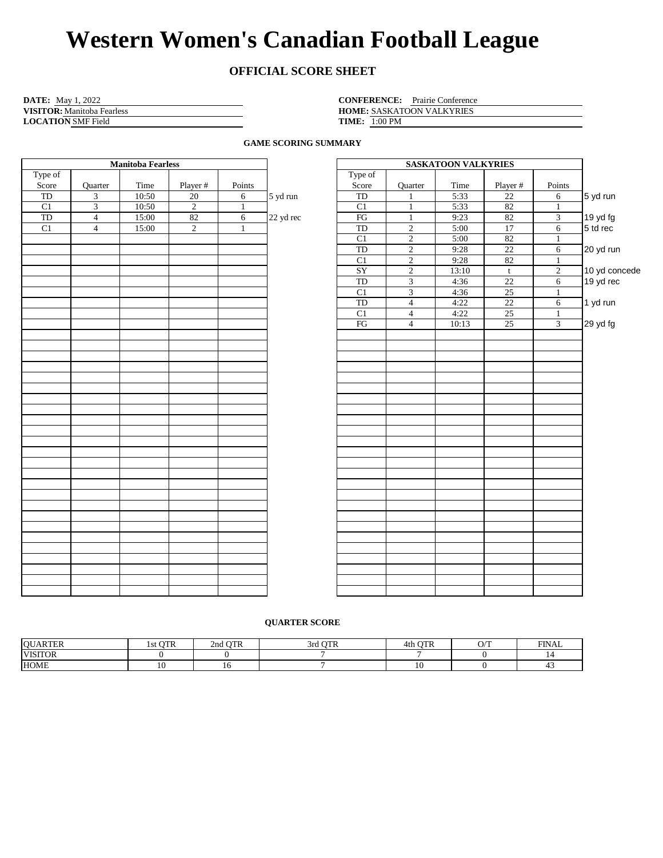# **OFFICIAL SCORE SHEET**

| <b>DATE:</b> May 1, 2022          | <b>CONFERENCE:</b> Prairie Conference |
|-----------------------------------|---------------------------------------|
| <b>VISITOR:</b> Manitoba Fearless | <b>HOME: SASKATOON VALKYRIES</b>      |
| <b>LOCATION SMF Field</b>         | <b>TIME:</b> 1:00 PM                  |

HOME: SASKATOON VALKYRIES **TIME:** 1:00 PM

**GAME SCORING SUMMARY**

|                         |          | <b>SASKATOON VALKYRIES</b> |                |                     |           | <b>Manitoba Fearless</b> |                |       |                         |         |  |  |  |  |
|-------------------------|----------|----------------------------|----------------|---------------------|-----------|--------------------------|----------------|-------|-------------------------|---------|--|--|--|--|
|                         |          |                            |                | Type of             |           |                          |                |       |                         | Type of |  |  |  |  |
| Points                  | Player # | Time                       | Quarter        | Score               |           | Points                   | Player #       | Time  | Quarter                 | Score   |  |  |  |  |
| 6                       | 22       | 5:33                       |                | TD                  | 5 yd run  | 6                        | 20             | 10:50 | $\mathfrak{Z}$          | TD      |  |  |  |  |
| $\mathbf{1}$            | 82       | 5:33                       |                | C1                  |           | $\mathbf{1}$             | $\overline{2}$ | 10:50 | $\overline{\mathbf{3}}$ | C1      |  |  |  |  |
| $\overline{\mathbf{3}}$ | 82       | 9:23                       | $\mathbf{1}$   | $\overline{\rm FG}$ | 22 yd rec | 6                        | 82             | 15:00 | $\overline{4}$          | TD      |  |  |  |  |
| 6                       | 17       | 5:00                       | $\overline{2}$ | <b>TD</b>           |           | $\mathbf{1}$             | $\overline{2}$ | 15:00 | $\overline{4}$          | C1      |  |  |  |  |
| $\mathbf{1}$            | 82       | 5:00                       | $\overline{2}$ | C1                  |           |                          |                |       |                         |         |  |  |  |  |
| 6                       | 22       | 9:28                       | $\overline{2}$ | TD                  |           |                          |                |       |                         |         |  |  |  |  |
| $\mathbf{1}$            | 82       | 9:28                       | $\overline{2}$ | C1                  |           |                          |                |       |                         |         |  |  |  |  |
| $\overline{2}$          | t        | 13:10                      | $\overline{2}$ | SY                  |           |                          |                |       |                         |         |  |  |  |  |
| $\sqrt{6}$              | $22\,$   | 4:36                       | $\overline{3}$ | TD                  |           |                          |                |       |                         |         |  |  |  |  |
| $\mathbf{1}$            | 25       | 4:36                       | $\overline{3}$ | C1                  |           |                          |                |       |                         |         |  |  |  |  |
| 6                       | 22       | 4:22                       | $\overline{4}$ | $\operatorname{TD}$ |           |                          |                |       |                         |         |  |  |  |  |
| $\mathbf{1}$            | 25       | 4:22                       | $\overline{4}$ | C1                  |           |                          |                |       |                         |         |  |  |  |  |
| $\overline{3}$          | 25       | 10:13                      | $\overline{4}$ | FG                  |           |                          |                |       |                         |         |  |  |  |  |
|                         |          |                            |                |                     |           |                          |                |       |                         |         |  |  |  |  |
|                         |          |                            |                |                     |           |                          |                |       |                         |         |  |  |  |  |
|                         |          |                            |                |                     |           |                          |                |       |                         |         |  |  |  |  |
|                         |          |                            |                |                     |           |                          |                |       |                         |         |  |  |  |  |
|                         |          |                            |                |                     |           |                          |                |       |                         |         |  |  |  |  |
|                         |          |                            |                |                     |           |                          |                |       |                         |         |  |  |  |  |
|                         |          |                            |                |                     |           |                          |                |       |                         |         |  |  |  |  |
|                         |          |                            |                |                     |           |                          |                |       |                         |         |  |  |  |  |
|                         |          |                            |                |                     |           |                          |                |       |                         |         |  |  |  |  |
|                         |          |                            |                |                     |           |                          |                |       |                         |         |  |  |  |  |
|                         |          |                            |                |                     |           |                          |                |       |                         |         |  |  |  |  |
|                         |          |                            |                |                     |           |                          |                |       |                         |         |  |  |  |  |
|                         |          |                            |                |                     |           |                          |                |       |                         |         |  |  |  |  |
|                         |          |                            |                |                     |           |                          |                |       |                         |         |  |  |  |  |
|                         |          |                            |                |                     |           |                          |                |       |                         |         |  |  |  |  |
|                         |          |                            |                |                     |           |                          |                |       |                         |         |  |  |  |  |
|                         |          |                            |                |                     |           |                          |                |       |                         |         |  |  |  |  |
|                         |          |                            |                |                     |           |                          |                |       |                         |         |  |  |  |  |
|                         |          |                            |                |                     |           |                          |                |       |                         |         |  |  |  |  |
|                         |          |                            |                |                     |           |                          |                |       |                         |         |  |  |  |  |
|                         |          |                            |                |                     |           |                          |                |       |                         |         |  |  |  |  |
|                         |          |                            |                |                     |           |                          |                |       |                         |         |  |  |  |  |
|                         |          |                            |                |                     |           |                          |                |       |                         |         |  |  |  |  |
|                         |          |                            |                |                     |           |                          |                |       |                         |         |  |  |  |  |
|                         |          |                            |                |                     |           |                          |                |       |                         |         |  |  |  |  |
|                         |          |                            |                |                     |           |                          |                |       |                         |         |  |  |  |  |

#### **QUARTER SCORE**

| <b>OUARTER</b> | $\cap$ TD<br>UIK<br>15t | <b>OTR</b><br>2nd ' | $\alpha$ <sub>T</sub><br>3rd | <b>OTR</b><br>4th | $\bigcap$ $\bigcap$<br>. | <b>FINAL</b> |
|----------------|-------------------------|---------------------|------------------------------|-------------------|--------------------------|--------------|
| <b>VISITOR</b> |                         |                     |                              |                   |                          |              |
| <b>HOME</b>    |                         |                     |                              |                   |                          |              |